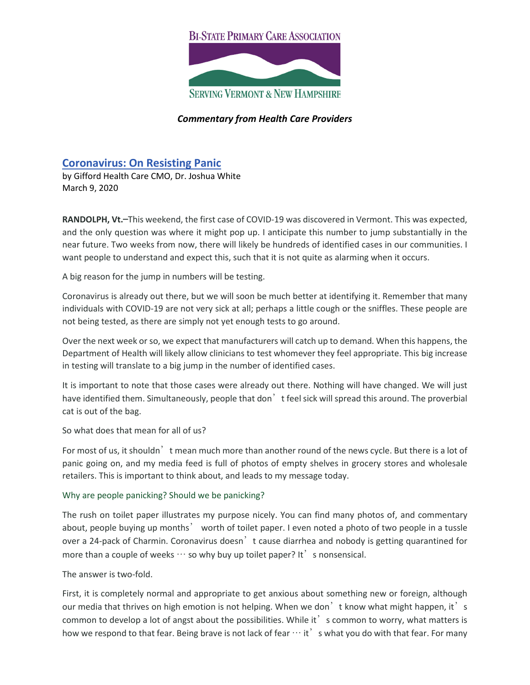## **BI-STATE PRIMARY CARE ASSOCIATION**



## *Commentary from Health Care Providers*

# **[Coronavirus: On Resisting Panic](https://giffordhealthcare.org/coronavirus-a-message-from-gifford-cmo-dr-joshua-white-on-resisting-panic/)**

by Gifford Health Care CMO, Dr. Joshua White March 9, 2020

**RANDOLPH, Vt.**—This weekend, the first case of COVID-19 was discovered in Vermont. This was expected, and the only question was where it might pop up. I anticipate this number to jump substantially in the near future. Two weeks from now, there will likely be hundreds of identified cases in our communities. I want people to understand and expect this, such that it is not quite as alarming when it occurs.

A big reason for the jump in numbers will be testing.

Coronavirus is already out there, but we will soon be much better at identifying it. Remember that many individuals with COVID-19 are not very sick at all; perhaps a little cough or the sniffles. These people are not being tested, as there are simply not yet enough tests to go around.

Over the next week or so, we expect that manufacturers will catch up to demand. When this happens, the Department of Health will likely allow clinicians to test whomever they feel appropriate. This big increase in testing will translate to a big jump in the number of identified cases.

It is important to note that those cases were already out there. Nothing will have changed. We will just have identified them. Simultaneously, people that don<sup>'</sup> t feel sick will spread this around. The proverbial cat is out of the bag.

So what does that mean for all of us?

For most of us, it shouldn' t mean much more than another round of the news cycle. But there is a lot of panic going on, and my media feed is full of photos of empty shelves in grocery stores and wholesale retailers. This is important to think about, and leads to my message today.

#### Why are people panicking? Should we be panicking?

The rush on toilet paper illustrates my purpose nicely. You can find many photos of, and commentary about, people buying up months' worth of toilet paper. I even noted a photo of two people in a tussle over a 24-pack of Charmin. Coronavirus doesn't cause diarrhea and nobody is getting quarantined for more than a couple of weeks  $\cdots$  so why buy up toilet paper? It' s nonsensical.

#### The answer is two-fold.

First, it is completely normal and appropriate to get anxious about something new or foreign, although our media that thrives on high emotion is not helping. When we don't know what might happen, it's common to develop a lot of angst about the possibilities. While it' s common to worry, what matters is how we respond to that fear. Being brave is not lack of fear  $\cdots$  it  $'$  s what you do with that fear. For many